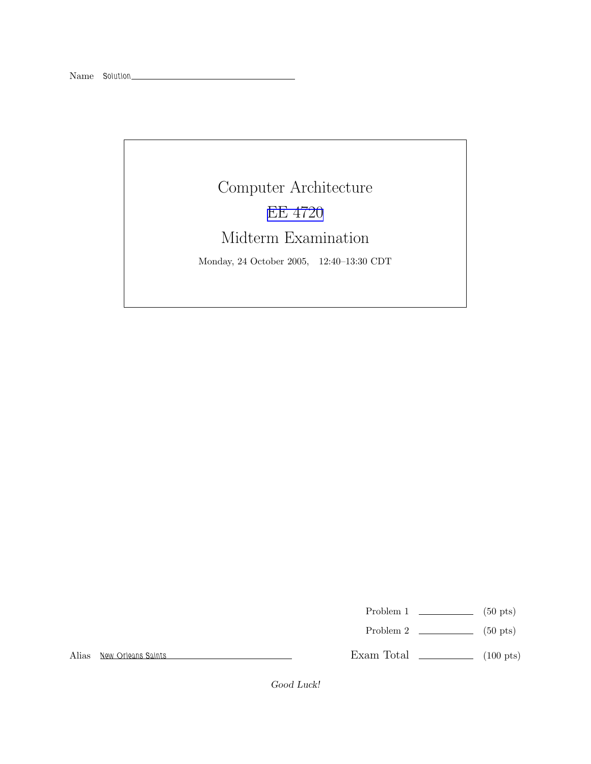## Computer Architecture EE [4720](http://www.ece.lsu.edu/ee4720/) Midterm Examination

Monday, 24 October 2005, 12:40–13:30 CDT

Problem 1  $\qquad \qquad$  (50 pts)

Problem 2  $\qquad \qquad$  (50 pts)

Alias New Orleans Saints

Exam Total \_\_\_\_\_\_\_\_\_\_\_\_\_ (100 pts)

Good Luck!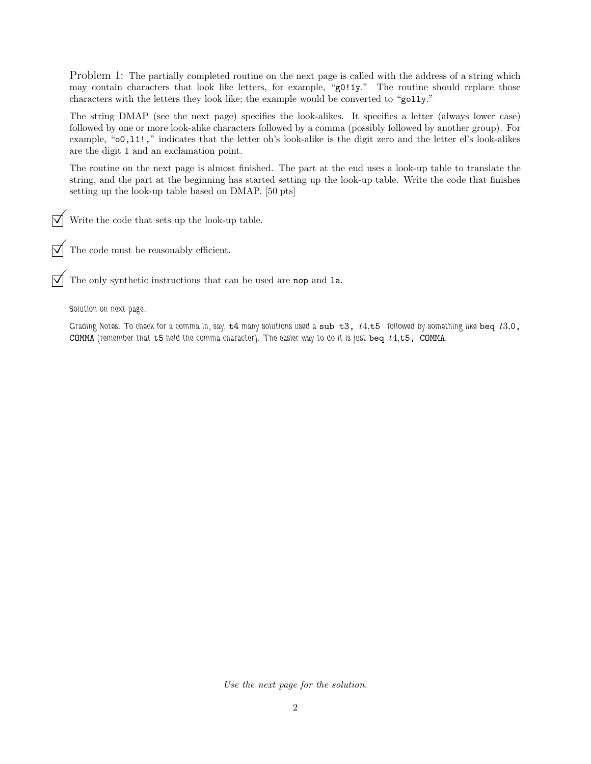Problem 1: The partially completed routine on the next page is called with the address of a string which may contain characters that look like letters, for example, "g0!1y." The routine should replace those characters with the letters they look like; the example would be converted to "golly."

The string DMAP (see the next page) specifies the look-alikes. It specifies a letter (always lower case) followed by one or more look-alike characters followed by a comma (possibly followed by another group). For example, "o0,l1!," indicates that the letter oh's look-alike is the digit zero and the letter el's look-alikes are the digit 1 and an exclamation point.

The routine on the next page is almost finished. The part at the end uses a look-up table to translate the string, and the part at the beginning has started setting up the look-up table. Write the code that finishes setting up the look-up table based on DMAP. [50 pts]

Write the code that sets up the look-up table.

 $\overline{\bigvee}$  The code must be reasonably efficient.

 $\sqrt{\phantom{a}}$  The only synthetic instructions that can be used are nop and 1a.

Solution on next page.

Grading Notes: To check for a comma in, say,  $t4$  many solutions used a sub  $t3$ ,  $t4$ ,  $t5$  followed by something like beq  $t3$ , 0, COMMA (remember that  $t5$  held the comma character). The easier way to do it is just beq  $t4,t5$ , COMMA.

Use the next page for the solution.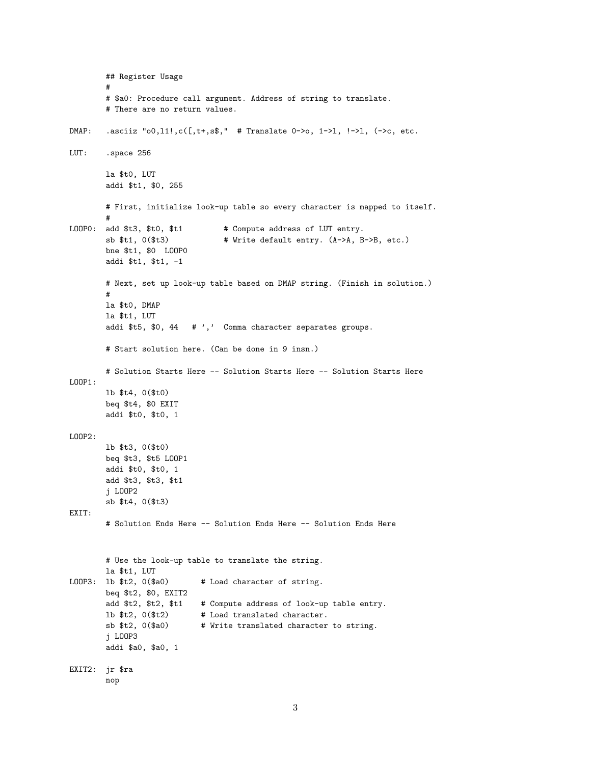## Register Usage  $#$ # \$a0: Procedure call argument. Address of string to translate. # There are no return values. .asciiz "o0,11!,  $c([,t+,s\$ ," # Translate 0->o, 1->1, !->1, (->c, etc.  $DMAP:$ LUT: .space 256 la \$t0, LUT addi \$t1, \$0, 255 # First, initialize look-up table so every character is mapped to itself. LOOPO: add \$t3, \$t0, \$t1 # Compute address of LUT entry. sb \$t1, 0(\$t3) # Write default entry. (A->A, B->B, etc.) bne \$t1, \$0 LOOPO addi \$t1, \$t1, -1 # Next, set up look-up table based on DMAP string. (Finish in solution.)  $#$ la \$t0, DMAP la \$t1, LUT addi \$t5, \$0, 44 # ',' Comma character separates groups. # Start solution here. (Can be done in 9 insn.) # Solution Starts Here -- Solution Starts Here -- Solution Starts Here  $LOOP1:$ lb \$t4, 0(\$t0) beq \$t4, \$0 EXIT addi \$t0, \$t0, 1  $LOOP2:$ lb \$t3, 0(\$t0) beg \$t3, \$t5 L00P1 addi \$t0, \$t0, 1 add \$t3, \$t3, \$t1 j LOOP2 sb \$t4, 0(\$t3) EXIT: # Solution Ends Here -- Solution Ends Here -- Solution Ends Here # Use the look-up table to translate the string. la \$t1, LUT LOOP3: 1b \$t2, 0(\$a0) # Load character of string. beq  $t2$ ,  $0$ ,  $EXIT2$ add \$t2, \$t2, \$t1 # Compute address of look-up table entry. lb \$t2, 0(\$t2) # Load translated character.  $sb$   $t2, 0$  $s30)$ # Write translated character to string. j LOOP3 addi \$a0, \$a0, 1 EXIT2: jr \$ra nop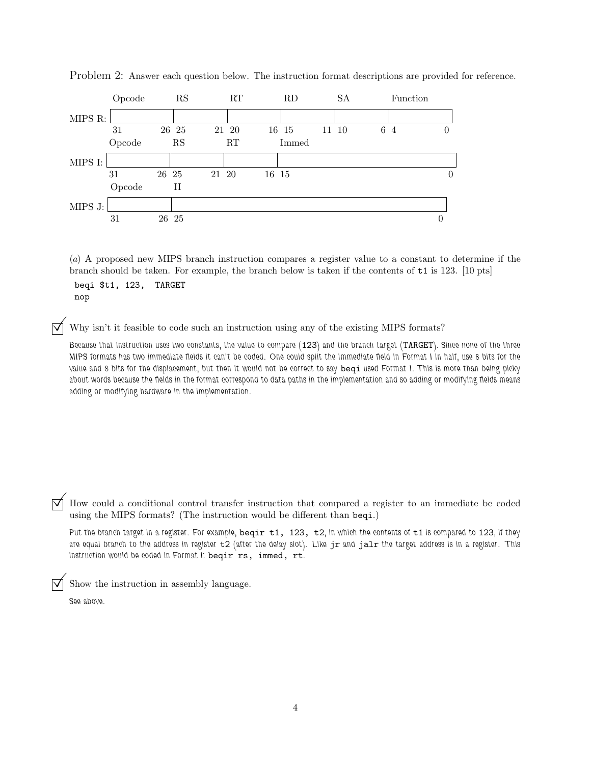

Problem 2: Answer each question below. The instruction format descriptions are provided for reference.

(a) A proposed new MIPS branch instruction compares a register value to a constant to determine if the branch should be taken. For example, the branch below is taken if the contents of t1 is 123. [10 pts]

beqi \$t1, 123, TARGET nop

Why isn't it feasible to code such an instruction using any of the existing MIPS formats?

Because that instruction uses two constants, the value to compare (123) and the branch target (TARGET). Since none of the three MIPS formats has two immediate fields it can't be coded. One could split the immediate field in Format I in half, use 8 bits for the value and 8 bits for the displacement, but then it would not be correct to say beqi used Format I. This is more than being picky about words because the fields in the format correspond to data paths in the implementation and so adding or modifying fields means adding or modifying hardware in the implementation.

How could a conditional control transfer instruction that compared a register to an immediate be coded using the MIPS formats? (The instruction would be different than beqi.)

Put the branch target in a register. For example, beqir  $t1$ , 123,  $t2$ , in which the contents of  $t1$  is compared to 123, if they are equal branch to the address in register  $t2$  (after the delay slot). Like jr and jalr the target address is in a register. This instruction would be coded in Format I: beqir rs, immed, rt.

©Show the instruction in assembly language. See above.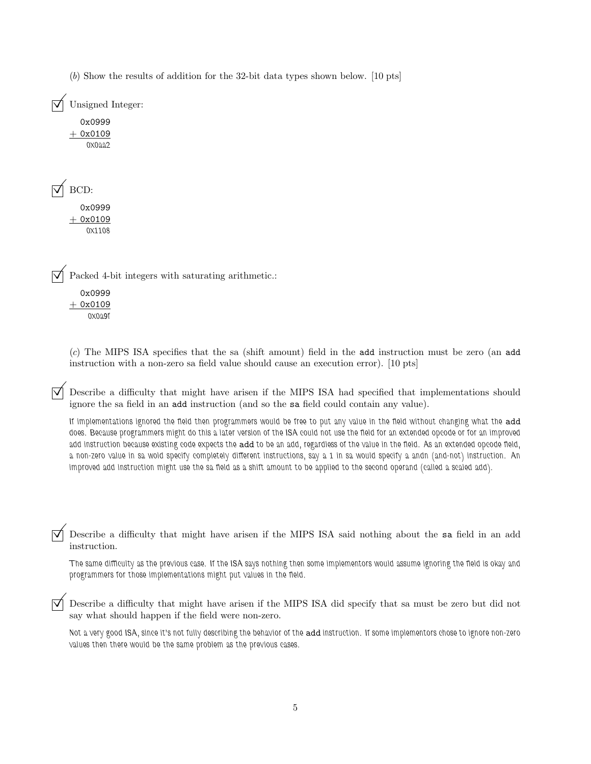| $(b)$ Show the results of addition for the 32-bit data types shown below. [10 pts] |
|------------------------------------------------------------------------------------|
| Unsigned Integer:                                                                  |
| 0x0999<br>$+$ 0x0109<br>0x0aa2                                                     |
| BCD:<br>0x0999<br>$+$ 0x0109<br>0X1108                                             |
| Packed 4-bit integers with saturating arithmetic.:<br>0x0999<br>0x0109<br>0X0a9f   |

(c) The MIPS ISA specifies that the sa (shift amount) field in the add instruction must be zero (an add instruction with a non-zero sa field value should cause an execution error). [10 pts]

© Describe <sup>a</sup> difficulty that might have arisen if the MIPS ISA had specified that implementations should ignore the sa field in an add instruction (and so the sa field could contain any value).

If implementations ignored the field then programmers would be free to put any value in the field without changing what the add does. Because programmers might do this a later version of the ISA could not use the field for an extended opcode or for an improved add instruction because existing code expects the add to be an add, regardless of the value in the field. As an extended opcode field, a non-zero value in sa wold specify completely different instructions, say a 1 in sa would specify a andn (and-not) instruction. An improved add instruction might use the sa field as a shift amount to be applied to the second operand (called a scaled add).

© Describe <sup>a</sup> difficulty that might have arisen if the MIPS ISA said nothing about the sa field in an add instruction.

The same difficulty as the previous case. If the ISA says nothing then some implementors would assume ignoring the field is okay and programmers for those implementations might put values in the field.

© Describe <sup>a</sup> difficulty that might have arisen if the MIPS ISA did specify that sa must be zero but did not say what should happen if the field were non-zero.

Not a very good ISA, since it's not fully describing the behavior of the add instruction. If some implementors chose to ignore non-zero values then there would be the same problem as the previous cases.